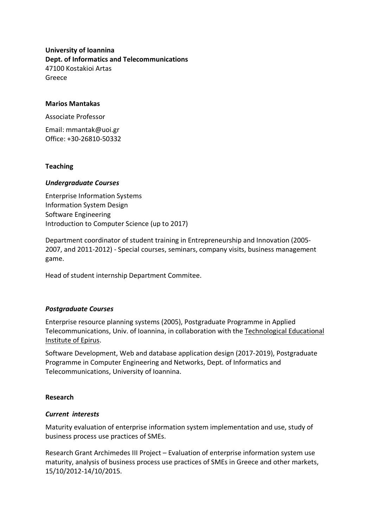**University of Ioannina Dept. of Informatics and Telecommunications** 47100 Kostakioi Artas Greece

## **Marios Mantakas**

Associate Professor

Email: mmantak@uoi.gr Office: +30-26810-50332

### **Teaching**

### *Undergraduate Courses*

Enterprise Information Systems Information System Design Software Engineering Introduction to Computer Science (up to 2017)

Department coordinator of student training in Entrepreneurship and Innovation (2005- 2007, and 2011-2012) - Special courses, seminars, company visits, business management game.

Head of student internship Department Commitee.

### *Postgraduate Courses*

Enterprise resource planning systems (2005), Postgraduate Programme in Applied Telecommunications, Univ. of Ioannina, in collaboration with the Technological Educational Institute of Epirus.

Software Development, Web and database application design (2017-2019), Postgraduate Programme in Computer Engineering and Networks, Dept. of Informatics and Telecommunications, University of Ioannina.

### **Research**

### *Current interests*

Maturity evaluation of enterprise information system implementation and use, study of business process use practices of SMEs.

Research Grant Archimedes III Project – Evaluation of enterprise information system use maturity, analysis of business process use practices of SMEs in Greece and other markets, 15/10/2012-14/10/2015.